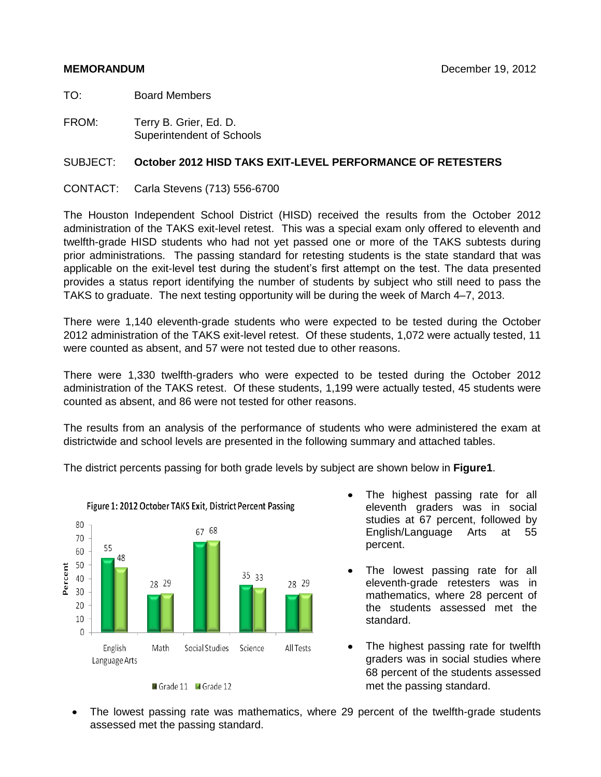TO: Board Members

FROM: Terry B. Grier, Ed. D. Superintendent of Schools

## SUBJECT: **October 2012 HISD TAKS EXIT-LEVEL PERFORMANCE OF RETESTERS**

CONTACT: Carla Stevens (713) 556-6700

The Houston Independent School District (HISD) received the results from the October 2012 administration of the TAKS exit-level retest. This was a special exam only offered to eleventh and twelfth-grade HISD students who had not yet passed one or more of the TAKS subtests during prior administrations. The passing standard for retesting students is the state standard that was applicable on the exit-level test during the student's first attempt on the test. The data presented provides a status report identifying the number of students by subject who still need to pass the TAKS to graduate. The next testing opportunity will be during the week of March 4–7, 2013.

There were 1,140 eleventh-grade students who were expected to be tested during the October 2012 administration of the TAKS exit-level retest. Of these students, 1,072 were actually tested, 11 were counted as absent, and 57 were not tested due to other reasons.

There were 1,330 twelfth-graders who were expected to be tested during the October 2012 administration of the TAKS retest. Of these students, 1,199 were actually tested, 45 students were counted as absent, and 86 were not tested for other reasons.

The results from an analysis of the performance of students who were administered the exam at districtwide and school levels are presented in the following summary and attached tables.

The district percents passing for both grade levels by subject are shown below in **Figure1**.



Figure 1: 2012 October TAKS Exit, District Percent Passing

- The highest passing rate for all eleventh graders was in social studies at 67 percent, followed by English/Language Arts at 55 percent.
- $\bullet$ The lowest passing rate for all eleventh-grade retesters was in mathematics, where 28 percent of the students assessed met the standard.
- The highest passing rate for twelfth  $\bullet$ graders was in social studies where 68 percent of the students assessed met the passing standard.
- The lowest passing rate was mathematics, where 29 percent of the twelfth-grade students assessed met the passing standard.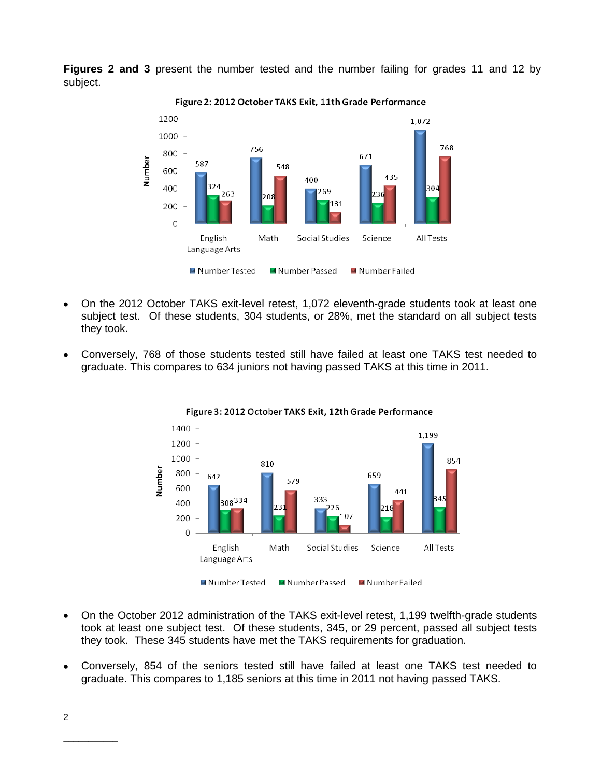**Figures 2 and 3** present the number tested and the number failing for grades 11 and 12 by subject.



Figure 2: 2012 October TAKS Exit, 11th Grade Performance

- On the 2012 October TAKS exit-level retest, 1,072 eleventh-grade students took at least one subject test. Of these students, 304 students, or 28%, met the standard on all subject tests they took.
- Conversely, 768 of those students tested still have failed at least one TAKS test needed to graduate. This compares to 634 juniors not having passed TAKS at this time in 2011.





- On the October 2012 administration of the TAKS exit-level retest, 1,199 twelfth-grade students  $\bullet$ took at least one subject test. Of these students, 345, or 29 percent, passed all subject tests they took. These 345 students have met the TAKS requirements for graduation.
- Conversely, 854 of the seniors tested still have failed at least one TAKS test needed to graduate. This compares to 1,185 seniors at this time in 2011 not having passed TAKS.

\_\_\_\_\_\_\_\_\_\_\_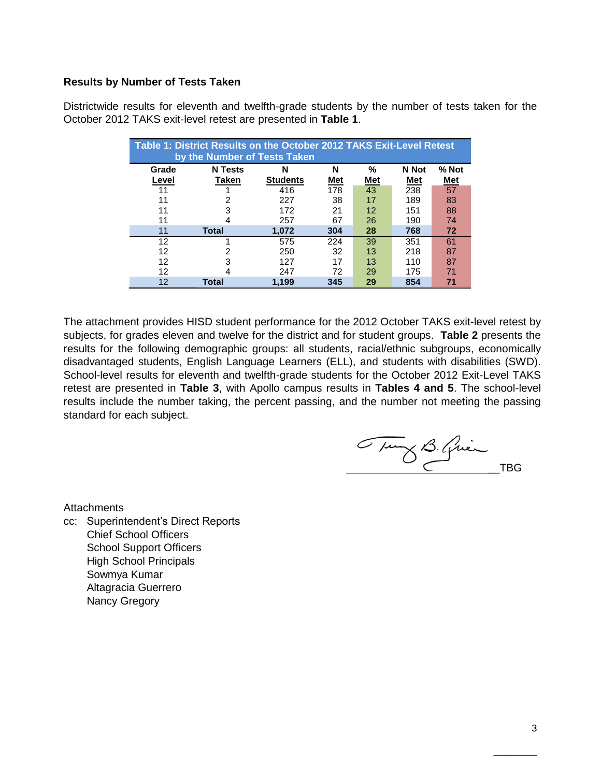### **Results by Number of Tests Taken**

Districtwide results for eleventh and twelfth-grade students by the number of tests taken for the October 2012 TAKS exit-level retest are presented in **Table 1**.

|       | Table 1: District Results on the October 2012 TAKS Exit-Level Retest<br>by the Number of Tests Taken |                 |     |                   |       |       |  |  |  |  |  |  |  |  |
|-------|------------------------------------------------------------------------------------------------------|-----------------|-----|-------------------|-------|-------|--|--|--|--|--|--|--|--|
| Grade | <b>N</b> Tests                                                                                       | N               | N   | %                 | N Not | % Not |  |  |  |  |  |  |  |  |
| Level | Taken                                                                                                | <b>Students</b> | Met | Met               | Met   | Met   |  |  |  |  |  |  |  |  |
| 11    |                                                                                                      | 416             | 178 | 43                | 238   | 57    |  |  |  |  |  |  |  |  |
| 11    | 2                                                                                                    | 227             | 38  | 17                | 189   | 83    |  |  |  |  |  |  |  |  |
| 11    | З                                                                                                    | 172             | 21  | $12 \overline{ }$ | 151   | 88    |  |  |  |  |  |  |  |  |
| 11    |                                                                                                      | 257             | 67  | 26                | 190   | 74    |  |  |  |  |  |  |  |  |
| 11    | <b>Total</b>                                                                                         | 1.072           | 304 | 28                | 768   | 72    |  |  |  |  |  |  |  |  |
| 12    |                                                                                                      | 575             | 224 | 39                | 351   | 61    |  |  |  |  |  |  |  |  |
| 12    | 2                                                                                                    | 250             | 32  | 13                | 218   | 87    |  |  |  |  |  |  |  |  |
| 12    | 3                                                                                                    | 127             | 17  | 13                | 110   | 87    |  |  |  |  |  |  |  |  |
| 12    | 4                                                                                                    | 247             | 72  | 29                | 175   | 71    |  |  |  |  |  |  |  |  |
| 12    | Total                                                                                                | 1.199           | 345 | 29                | 854   | 71    |  |  |  |  |  |  |  |  |

The attachment provides HISD student performance for the 2012 October TAKS exit-level retest by subjects, for grades eleven and twelve for the district and for student groups. **Table 2** presents the results for the following demographic groups: all students, racial/ethnic subgroups, economically disadvantaged students, English Language Learners (ELL), and students with disabilities (SWD). School-level results for eleventh and twelfth-grade students for the October 2012 Exit-Level TAKS retest are presented in **Table 3**, with Apollo campus results in **Tables 4 and 5**. The school-level results include the number taking, the percent passing, and the number not meeting the passing standard for each subject.

Tung B. Quin

**Attachments** 

cc: Superintendent's Direct Reports Chief School Officers School Support Officers High School Principals Sowmya Kumar Altagracia Guerrero Nancy Gregory

 $\overline{\phantom{a}}$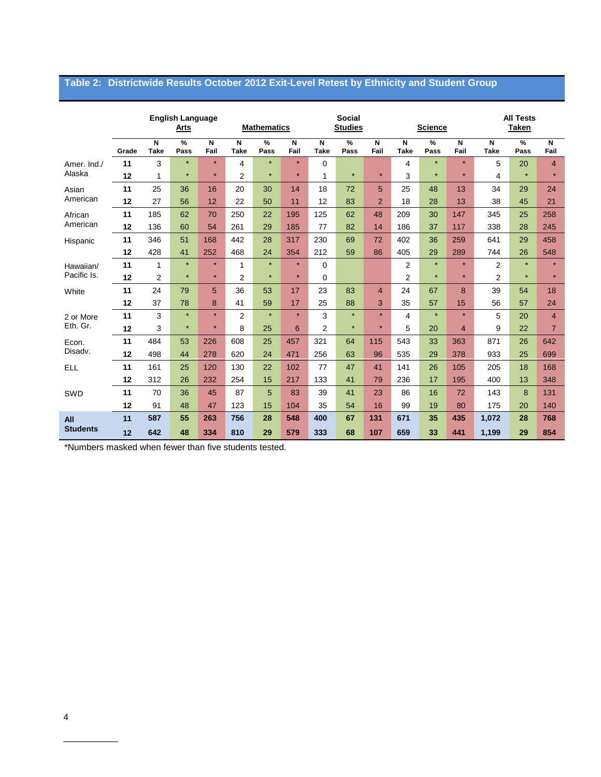# **Table 2: Districtwide Results October 2012 Exit-Level Retest by Ethnicity and Student Group**

|                 |       |                  | <b>English Language</b><br>Arts |           |                  | <b>Mathematics</b> |                                 | <b>Social</b><br><b>Studies</b> |           |                |                  | <b>Science</b> |                | <b>All Tests</b><br><b>Taken</b> |              |                |
|-----------------|-------|------------------|---------------------------------|-----------|------------------|--------------------|---------------------------------|---------------------------------|-----------|----------------|------------------|----------------|----------------|----------------------------------|--------------|----------------|
|                 | Grade | N<br><b>Take</b> | %<br>Pass                       | N<br>Fail | N<br><b>Take</b> | %<br>Pass          | $\overline{\mathsf{N}}$<br>Fail | N<br><b>Take</b>                | %<br>Pass | N<br>Fail      | N<br><b>Take</b> | %<br>Pass      | N<br>Fail      | N<br><b>Take</b>                 | $\%$<br>Pass | N<br>Fail      |
| Amer. Ind./     | 11    | 3                | $\star$                         | $\star$   | 4                | $\star$            | $\star$                         | 0                               |           |                | 4                | $\star$        | $\star$        | 5                                | 20           | $\overline{4}$ |
| Alaska          | 12    | 1                | $\star$                         | $\star$   | $\overline{2}$   | $\star$            | $\star$                         | 1                               | $\star$   | $\star$        | 3                | $\star$        | $\star$        | 4                                | $\star$      | $\star$        |
| Asian           | 11    | 25               | 36                              | 16        | 20               | 30                 | 14                              | 18                              | 72        | 5              | 25               | 48             | 13             | 34                               | 29           | 24             |
| American        | 12    | 27               | 56                              | 12        | 22               | 50                 | 11                              | 12                              | 83        | $\overline{2}$ | 18               | 28             | 13             | 38                               | 45           | 21             |
| African         | 11    | 185              | 62                              | 70        | 250              | 22                 | 195                             | 125                             | 62        | 48             | 209              | 30             | 147            | 345                              | 25           | 258            |
| American        | 12    | 136              | 60                              | 54        | 261              | 29                 | 185                             | 77                              | 82        | 14             | 186              | 37             | 117            | 338                              | 28           | 245            |
| Hispanic        | 11    | 346              | 51                              | 168       | 442              | 28                 | 317                             | 230                             | 69        | 72             | 402              | 36             | 259            | 641                              | 29           | 458            |
|                 | 12    | 428              | 41                              | 252       | 468              | 24                 | 354                             | 212                             | 59        | 86             | 405              | 29             | 289            | 744                              | 26           | 548            |
| Hawaiian/       | 11    | 1                | $\star$                         | $\star$   | 1                | $\star$            | $\star$                         | 0                               |           |                | $\overline{2}$   | $\star$        | $\star$        | 2                                | $\star$      | $\star$        |
| Pacific Is.     | 12    | 2                | $\star$                         | $\star$   | $\overline{2}$   | $\star$            | $\star$                         | 0                               |           |                | $\overline{2}$   | $\star$        | $\star$        | 2                                | $\star$      | $\star$        |
| White           | 11    | 24               | 79                              | 5         | 36               | 53                 | 17                              | 23                              | 83        | 4              | 24               | 67             | 8              | 39                               | 54           | 18             |
|                 | 12    | 37               | 78                              | 8         | 41               | 59                 | 17                              | 25                              | 88        | 3              | 35               | 57             | 15             | 56                               | 57           | 24             |
| 2 or More       | 11    | 3                | $\star$                         | $\star$   | $\overline{2}$   | $\star$            | $\star$                         | 3                               | $\star$   | $\star$        | $\overline{4}$   | $\star$        | $\star$        | 5                                | 20           | $\overline{4}$ |
| Eth. Gr.        | 12    | 3                | $\star$                         | $\star$   | 8                | 25                 | 6                               | $\overline{2}$                  | $\star$   | $\star$        | 5                | 20             | $\overline{4}$ | 9                                | 22           | $\overline{7}$ |
| Econ.           | 11    | 484              | 53                              | 226       | 608              | 25                 | 457                             | 321                             | 64        | 115            | 543              | 33             | 363            | 871                              | 26           | 642            |
| Disadv.         | 12    | 498              | 44                              | 278       | 620              | 24                 | 471                             | 256                             | 63        | 96             | 535              | 29             | 378            | 933                              | 25           | 699            |
| <b>ELL</b>      | 11    | 161              | 25                              | 120       | 130              | 22                 | 102                             | 77                              | 47        | 41             | 141              | 26             | 105            | 205                              | 18           | 168            |
|                 | 12    | 312              | 26                              | 232       | 254              | 15                 | 217                             | 133                             | 41        | 79             | 236              | 17             | 195            | 400                              | 13           | 348            |
| SWD             | 11    | 70               | 36                              | 45        | 87               | 5                  | 83                              | 39                              | 41        | 23             | 86               | 16             | 72             | 143                              | 8            | 131            |
|                 | 12    | 91               | 48                              | 47        | 123              | 15                 | 104                             | 35                              | 54        | 16             | 99               | 19             | 80             | 175                              | 20           | 140            |
| All             | 11    | 587              | 55                              | 263       | 756              | 28                 | 548                             | 400                             | 67        | 131            | 671              | 35             | 435            | 1,072                            | 28           | 768            |
| <b>Students</b> | 12    | 642              | 48                              | 334       | 810              | 29                 | 579                             | 333                             | 68        | 107            | 659              | 33             | 441            | 1,199                            | 29           | 854            |

\*Numbers masked when fewer than five students tested.

\_\_\_\_\_\_\_\_\_\_\_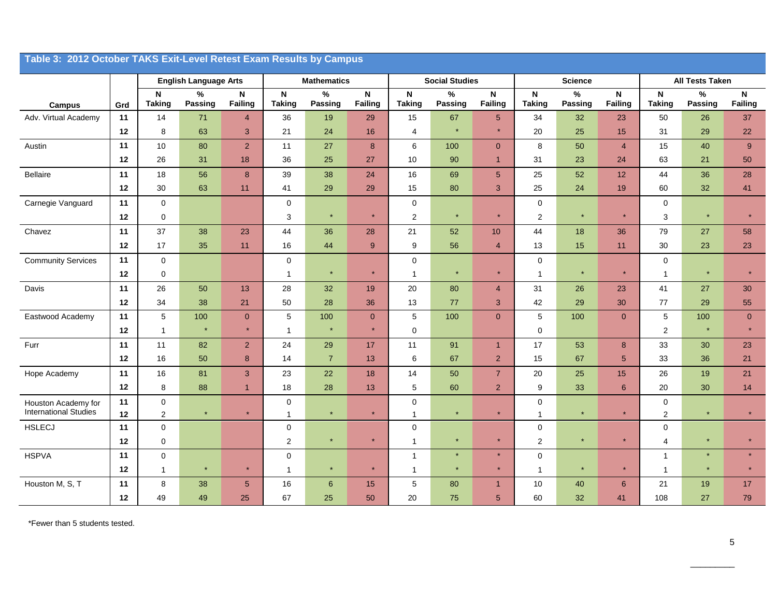|                                                     | Table 3: 2012 October TAKS Exit-Level Retest Exam Results by Campus |                             |                              |                     |                            |                                 |                               |                               |                        |                               |                           |                 |                  |                             |                        |                                |
|-----------------------------------------------------|---------------------------------------------------------------------|-----------------------------|------------------------------|---------------------|----------------------------|---------------------------------|-------------------------------|-------------------------------|------------------------|-------------------------------|---------------------------|-----------------|------------------|-----------------------------|------------------------|--------------------------------|
|                                                     |                                                                     |                             | <b>English Language Arts</b> |                     |                            | <b>Mathematics</b>              |                               |                               | <b>Social Studies</b>  |                               |                           | <b>Science</b>  |                  |                             | <b>All Tests Taken</b> |                                |
| <b>Campus</b>                                       | Grd                                                                 | N<br><b>Taking</b>          | $\%$<br>Passing              | N<br><b>Failing</b> | N<br><b>Taking</b>         | $\frac{9}{6}$<br><b>Passing</b> | $\mathbf N$<br><b>Failing</b> | N<br><b>Taking</b>            | $\%$<br><b>Passing</b> | $\mathsf N$<br><b>Failing</b> | N<br><b>Taking</b>        | $\%$<br>Passing | N<br>Failing     | N<br><b>Taking</b>          | $\%$<br>Passing        | $\mathsf{N}$<br><b>Failing</b> |
| Adv. Virtual Academy                                | 11                                                                  | 14                          | 71                           | $\overline{4}$      | 36                         | 19                              | 29                            | 15                            | 67                     | 5 <sup>5</sup>                | 34                        | 32              | 23               | 50                          | 26                     | 37                             |
|                                                     | 12                                                                  | 8                           | 63                           | $\mathbf{3}$        | 21                         | 24                              | 16                            | $\overline{4}$                | $\star$                | ×                             | 20                        | 25              | $15\,$           | 31                          | 29                     | 22                             |
| Austin                                              | 11                                                                  | $10$                        | 80                           | $\sqrt{2}$          | 11                         | 27                              | $\bf{8}$                      | $\,6\,$                       | 100                    | $\overline{0}$                | 8                         | 50              | $\overline{4}$   | 15                          | 40                     | $9\,$                          |
|                                                     | 12                                                                  | 26                          | 31                           | 18                  | 36                         | 25                              | 27                            | 10                            | 90                     | $\overline{1}$                | 31                        | 23              | 24               | 63                          | 21                     | 50                             |
| Bellaire                                            | 11                                                                  | 18                          | 56                           | $\bf 8$             | 39                         | 38                              | 24                            | 16                            | 69                     | $\overline{5}$                | 25                        | 52              | 12               | 44                          | 36                     | 28                             |
|                                                     | 12                                                                  | 30                          | 63                           | 11                  | 41                         | 29                              | 29                            | 15                            | 80                     | 3                             | 25                        | 24              | 19               | 60                          | 32                     | 41                             |
| Carnegie Vanguard                                   | 11                                                                  | $\mathsf 0$                 |                              |                     | $\mathbf 0$                |                                 |                               | $\mathbf 0$                   |                        |                               | $\pmb{0}$                 |                 |                  | $\pmb{0}$                   |                        |                                |
|                                                     | 12                                                                  | $\pmb{0}$                   |                              |                     | 3                          | $\star$                         | $\star$                       | $\overline{2}$                | $\star$                | ×                             | $\mathbf 2$               | $\star$         | $\star$          | 3                           | $\star$                | $\star$                        |
| Chavez                                              | 11                                                                  | 37                          | 38                           | 23                  | 44                         | 36                              | 28                            | 21                            | 52                     | 10                            | 44                        | 18              | 36               | 79                          | 27                     | 58                             |
|                                                     | 12                                                                  | 17                          | 35                           | 11                  | 16                         | 44                              | 9                             | 9                             | 56                     | $\overline{4}$                | 13                        | 15              | 11               | 30                          | 23                     | 23                             |
| <b>Community Services</b>                           | 11                                                                  | $\mathbf 0$                 |                              |                     | $\mathbf 0$                |                                 |                               | $\mathbf 0$                   |                        |                               | $\mathbf 0$               |                 |                  | $\overline{0}$              |                        |                                |
|                                                     | 12                                                                  | $\mathbf 0$                 |                              |                     | $\mathbf{1}$               | $\star$                         | $\star$                       | $\overline{1}$                | $\star$                | $\star$                       | $\mathbf{1}$              | $\star$         | $\star$          | $\overline{1}$              | $\star$                | $\star$                        |
| Davis                                               | 11                                                                  | 26                          | 50                           | 13                  | 28                         | 32                              | 19                            | $20\,$                        | 80                     | $\overline{4}$                | 31                        | 26              | 23               | 41                          | 27                     | 30                             |
|                                                     | 12                                                                  | 34                          | 38                           | 21                  | 50                         | 28                              | 36                            | 13                            | 77                     | 3                             | 42                        | 29              | 30               | 77                          | 29                     | 55                             |
| Eastwood Academy                                    | 11                                                                  | 5                           | 100                          | $\pmb{0}$           | 5                          | 100                             | $\overline{0}$                | 5                             | 100                    | $\mathbf 0$                   | 5                         | 100             | $\overline{0}$   | $\overline{5}$              | 100                    | $\overline{0}$                 |
|                                                     | 12                                                                  | $\mathbf{1}$                | $\star$                      | $\star$             | $\mathbf 1$                | $\star$                         | $\star$                       | $\mathbf{0}$                  |                        |                               | $\mathbf{0}$              |                 |                  | $\overline{c}$              | $\star$                | $\star$                        |
| Furr                                                | 11                                                                  | 11                          | 82                           | $\overline{2}$      | 24                         | 29                              | 17                            | 11                            | 91                     | $\overline{1}$                | 17                        | 53              | 8 <sup>°</sup>   | 33                          | 30                     | 23                             |
|                                                     | 12                                                                  | 16                          | 50                           | 8                   | 14                         | $\overline{7}$                  | 13                            | 6                             | 67                     | $\overline{2}$                | 15                        | 67              | 5 <sup>5</sup>   | 33                          | 36                     | 21                             |
| Hope Academy                                        | 11                                                                  | 16                          | 81                           | $\mathbf{3}$        | 23                         | 22                              | 18                            | 14                            | 50                     | $\overline{7}$                | 20                        | 25              | 15               | 26                          | 19                     | 21                             |
|                                                     | 12                                                                  | 8                           | 88                           | $\overline{1}$      | 18                         | 28                              | 13                            | 5                             | 60                     | $\overline{2}$                | 9                         | 33              | $\boldsymbol{6}$ | 20                          | 30                     | 14                             |
| Houston Academy for<br><b>International Studies</b> | 11<br>12                                                            | $\pmb{0}$<br>$\overline{2}$ | $\star$                      | $\star$             | $\mathbf 0$<br>$\mathbf 1$ | $\star$                         | $\star$                       | $\mathbf 0$<br>$\overline{1}$ | $\star$                | $\star$                       | $\pmb{0}$<br>$\mathbf{1}$ | $\star$         | $\star$          | $\pmb{0}$<br>$\overline{2}$ | $\star$                | $\star$                        |
| <b>HSLECJ</b>                                       | 11                                                                  | 0                           |                              |                     | $\mathbf 0$                |                                 |                               | $\mathbf 0$                   |                        |                               | $\mathbf 0$               |                 |                  | $\mathbf 0$                 |                        |                                |
|                                                     | 12                                                                  | 0                           |                              |                     | 2                          | $\star$                         | $\star$                       | $\overline{1}$                | $\star$                | ×                             | $\mathbf 2$               | $\star$         | $\star$          | $\overline{4}$              | $\star$                | $\star$                        |
| <b>HSPVA</b>                                        | 11                                                                  | 0                           |                              |                     | $\mathbf 0$                |                                 |                               | $\overline{1}$                | $\star$                | $\star$                       | $\mathbf 0$               |                 |                  | $\mathbf{1}$                | $\star$                | $\star$                        |
|                                                     | 12                                                                  | $\mathbf{1}$                | $\star$                      | $\star$             | $\mathbf{1}$               | $\star$                         | $\star$                       | $\overline{1}$                | $\star$                | $\star$                       | $\mathbf{1}$              | $\star$         | $\star$          | $\mathbf{1}$                | $\star$                | $\star$                        |
| Houston M, S, T                                     | 11                                                                  | 8                           | 38                           | $5\phantom{.0}$     | 16                         | $6\phantom{1}$                  | 15                            | $\sqrt{5}$                    | 80                     | $\mathbf{1}$                  | 10                        | 40              | $6\phantom{1}$   | 21                          | 19                     | 17                             |
|                                                     | 12                                                                  | 49                          | 49                           | 25                  | 67                         | 25                              | 50                            | 20                            | 75                     | 5                             | 60                        | 32              | 41               | 108                         | 27                     | 79                             |

\*Fewer than 5 students tested.

\_\_\_\_\_\_\_\_\_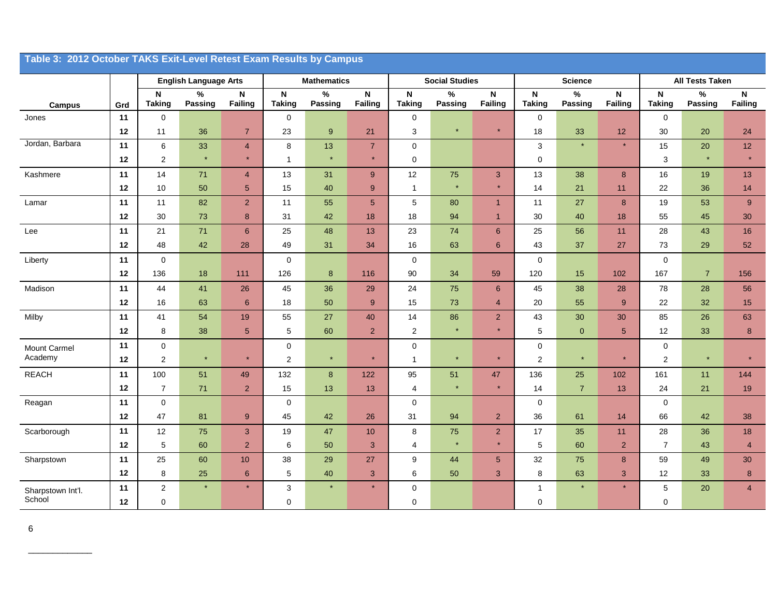| Table 3: 2012 October TAKS Exit-Level Retest Exam Results by Campus |          |                               |                              |                                |                                            |                    |                                |                              |                       |                                      |                              |                 |                 |                               |                        |                         |
|---------------------------------------------------------------------|----------|-------------------------------|------------------------------|--------------------------------|--------------------------------------------|--------------------|--------------------------------|------------------------------|-----------------------|--------------------------------------|------------------------------|-----------------|-----------------|-------------------------------|------------------------|-------------------------|
|                                                                     |          |                               | <b>English Language Arts</b> |                                |                                            | <b>Mathematics</b> |                                |                              | <b>Social Studies</b> |                                      | <b>Science</b>               |                 |                 |                               | <b>All Tests Taken</b> |                         |
| <b>Campus</b>                                                       | Grd      | $\mathsf{N}$<br><b>Taking</b> | $\%$<br>Passing              | $\mathsf{N}\xspace$<br>Failing | $\boldsymbol{\mathsf{N}}$<br><b>Taking</b> | $\%$<br>Passing    | $\mathsf{N}\xspace$<br>Failing | $\mathsf N$<br><b>Taking</b> | $\%$<br>Passing       | $\boldsymbol{\mathsf{N}}$<br>Failing | $\mathsf N$<br><b>Taking</b> | $\%$<br>Passing | N<br>Failing    | $\mathsf{N}$<br><b>Taking</b> | $\%$<br>Passing        | $\mathsf{N}$<br>Failing |
| Jones                                                               | 11       | $\mathbf 0$                   |                              |                                | $\mathbf 0$                                |                    |                                | $\mathbf 0$                  |                       |                                      | 0                            |                 |                 | $\mathbf 0$                   |                        |                         |
|                                                                     | 12       | 11                            | 36                           | $\overline{7}$                 | 23                                         | $9\,$              | 21                             | 3                            | $\star$               | $\star$                              | 18                           | 33              | 12              | 30                            | 20                     | 24                      |
| Jordan, Barbara                                                     | 11       | $\,6\,$                       | 33                           | $\overline{4}$                 | 8                                          | 13                 | $\overline{7}$                 | $\pmb{0}$                    |                       |                                      | $\mathsf 3$                  | $\star$         | $\star$         | 15                            | 20                     | 12                      |
|                                                                     | 12       | $\overline{c}$                | $\star$                      | $\star$                        | $\mathbf{1}$                               | $\star$            | $\star$                        | $\mathbf 0$                  |                       |                                      | $\pmb{0}$                    |                 |                 | 3                             | $\star$                | $\star$                 |
| Kashmere                                                            | 11       | 14                            | 71                           | $\overline{4}$                 | 13                                         | 31                 | 9                              | 12                           | 75                    | 3                                    | 13                           | 38              | $\bf 8$         | 16                            | 19                     | 13                      |
|                                                                     | 12       | 10                            | 50                           | $5\phantom{.0}$                | 15                                         | 40                 | 9                              | $\mathbf{1}$                 |                       | $\star$                              | 14                           | 21              | 11              | 22                            | 36                     | 14                      |
| Lamar                                                               | 11       | 11                            | 82                           | $\overline{2}$                 | 11                                         | 55                 | $5\phantom{.0}$                | $\,$ 5 $\,$                  | 80                    | $\overline{1}$                       | 11                           | 27              | $\bf 8$         | 19                            | 53                     | 9                       |
|                                                                     | 12       | 30                            | 73                           | 8                              | 31                                         | 42                 | 18                             | 18                           | 94                    | $\overline{1}$                       | 30                           | 40              | 18              | 55                            | 45                     | 30                      |
| Lee                                                                 | 11       | 21                            | $71$                         | $\,6\,$                        | 25                                         | 48                 | 13                             | 23                           | 74                    | $6\phantom{1}$                       | 25                           | 56              | 11              | 28                            | 43                     | 16                      |
|                                                                     | 12       | 48                            | 42                           | 28                             | 49                                         | 31                 | 34                             | 16                           | 63                    | 6                                    | 43                           | 37              | 27              | 73                            | 29                     | 52                      |
| Liberty                                                             | 11       | $\mathbf 0$                   |                              |                                | $\mathbf 0$                                |                    |                                | $\mathbf 0$                  |                       |                                      | $\mathbf 0$                  |                 |                 | $\mathbf 0$                   |                        |                         |
|                                                                     | 12       | 136                           | 18                           | 111                            | 126                                        | $\bf8$             | 116                            | 90                           | 34                    | 59                                   | 120                          | 15              | 102             | 167                           | $\overline{7}$         | 156                     |
| Madison                                                             | 11       | 44                            | 41                           | 26                             | 45                                         | 36                 | 29                             | 24                           | 75                    | $6^{\circ}$                          | 45                           | 38              | 28              | 78                            | 28                     | 56                      |
|                                                                     | 12       | 16                            | 63                           | 6                              | 18                                         | 50                 | 9                              | 15                           | 73                    | $\overline{4}$                       | 20                           | 55              | 9               | 22                            | 32                     | $15\,$                  |
| Milby                                                               | 11       | 41                            | 54                           | 19                             | 55                                         | 27                 | 40                             | 14                           | 86                    | $\overline{2}$                       | 43                           | 30              | 30              | 85                            | 26                     | 63                      |
|                                                                     | 12       | 8                             | 38                           | $5\phantom{.0}$                | 5                                          | 60                 | $\overline{2}$                 | $\overline{2}$               | $\star$               | $\star$                              | 5                            | $\overline{0}$  | $5\phantom{.0}$ | 12                            | 33                     | $\bf{8}$                |
| Mount Carmel<br>Academy                                             | 11<br>12 | $\pmb{0}$<br>$\boldsymbol{2}$ | $\star$                      |                                | $\mathbf 0$<br>$\overline{2}$              | $\star$            | $\star$                        | $\mathbf 0$<br>1             |                       | $\star$                              | $\pmb{0}$<br>$\sqrt{2}$      | $\star$         | $\star$         | $\mathbf 0$<br>$\overline{c}$ |                        | $\star$                 |
| <b>REACH</b>                                                        | 11       | 100                           | 51                           | 49                             | 132                                        | $\bf 8$            | 122                            | 95                           | 51                    | 47                                   | 136                          | 25              | 102             | 161                           | 11                     | 144                     |
|                                                                     | 12       | $\overline{7}$                | 71                           | $\sqrt{2}$                     | 15                                         | 13                 | 13                             | $\overline{4}$               |                       | $\star$                              | 14                           | $\sqrt{7}$      | 13              | 24                            | 21                     | 19                      |
| Reagan                                                              | 11       | $\mathbf 0$                   |                              |                                | $\mathbf 0$                                |                    |                                | $\mathbf 0$                  |                       |                                      | 0                            |                 |                 | $\mathbf 0$                   |                        |                         |
|                                                                     | 12       | 47                            | 81                           | $9\,$                          | 45                                         | 42                 | 26                             | 31                           | 94                    | $\overline{2}$                       | 36                           | 61              | 14              | 66                            | 42                     | 38                      |
| Scarborough                                                         | 11       | 12                            | 75                           | 3                              | 19                                         | 47                 | 10                             | 8                            | 75                    | $\overline{2}$                       | 17                           | 35              | 11              | 28                            | 36                     | 18                      |
|                                                                     | 12       | $\sqrt{5}$                    | 60                           | $\overline{2}$                 | 6                                          | 50                 | 3                              | 4                            |                       | $\star$                              | $\mathbf 5$                  | 60              | $\overline{2}$  | $\overline{7}$                | 43                     | $\overline{4}$          |
| Sharpstown                                                          | 11       | 25                            | 60                           | 10                             | 38                                         | 29                 | 27                             | 9                            | 44                    | 5 <sup>5</sup>                       | 32                           | 75              | $\bf 8$         | 59                            | 49                     | 30                      |
|                                                                     | 12       | 8                             | 25                           | 6                              | 5                                          | 40                 | 3                              | 6                            | 50                    | 3                                    | 8                            | 63              | 3               | 12                            | 33                     | 8                       |
| Sharpstown Int'l.                                                   | 11       | $\sqrt{2}$                    |                              |                                | 3                                          |                    | $\star$                        | $\mathsf 0$                  |                       |                                      | $\mathbf{1}$                 | $\star$         | $\star$         | 5                             | 20                     | $\overline{4}$          |
| School                                                              | 12       | $\mathbf 0$                   |                              |                                | 0                                          |                    |                                | $\mathbf 0$                  |                       |                                      | $\mathbf 0$                  |                 |                 | 0                             |                        |                         |

\_\_\_\_\_\_\_\_\_\_\_\_\_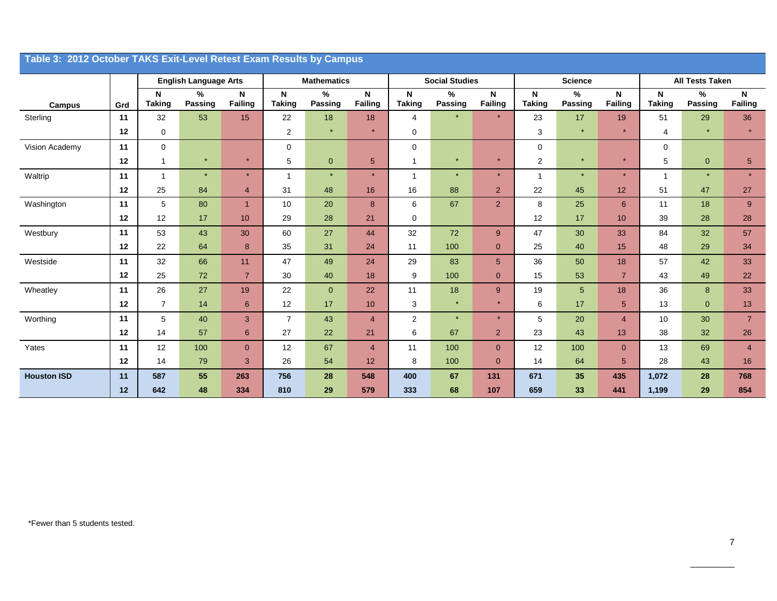| Table 3: 2012 October TAKS Exit-Level Retest Exam Results by Campus |     |                    |                              |                     |                    |                     |                                |                    |                       |                         |                               |                 |                |                    |                        |                                |
|---------------------------------------------------------------------|-----|--------------------|------------------------------|---------------------|--------------------|---------------------|--------------------------------|--------------------|-----------------------|-------------------------|-------------------------------|-----------------|----------------|--------------------|------------------------|--------------------------------|
|                                                                     |     |                    | <b>English Language Arts</b> |                     |                    | <b>Mathematics</b>  |                                |                    | <b>Social Studies</b> |                         |                               | <b>Science</b>  |                |                    | <b>All Tests Taken</b> |                                |
| <b>Campus</b>                                                       | Grd | N<br><b>Taking</b> | %<br><b>Passing</b>          | N<br><b>Failing</b> | N<br><b>Taking</b> | %<br><b>Passing</b> | $\mathsf{N}$<br><b>Failing</b> | N<br><b>Taking</b> | %<br>Passing          | $\mathsf{N}$<br>Failing | $\mathsf{N}$<br><b>Taking</b> | $\%$<br>Passing | N<br>Failing   | N<br><b>Taking</b> | $\%$<br><b>Passing</b> | $\mathsf{N}$<br><b>Failing</b> |
| Sterling                                                            | 11  | 32                 | 53                           | 15                  | 22                 | 18                  | 18                             | $\overline{4}$     |                       | $\star$                 | 23                            | 17              | 19             | 51                 | 29                     | 36                             |
|                                                                     | 12  | 0                  |                              |                     | 2                  | $\star$             | $\star$                        | $\mathbf 0$        |                       |                         | 3                             | $\star$         | $\star$        | 4                  | $\star$                | $\star$                        |
| Vision Academy                                                      | 11  | $\mathbf 0$        |                              |                     | $\mathbf 0$        |                     |                                | $\mathbf 0$        |                       |                         | 0                             |                 |                | $\Omega$           |                        |                                |
|                                                                     | 12  | 1                  | $\star$                      | $\star$             | 5                  | $\overline{0}$      | $5\phantom{.}$                 | $\mathbf{1}$       | $\star$               | $\star$                 | 2                             | $\star$         | $\star$        | 5                  | $\overline{0}$         | $\overline{5}$                 |
| Waltrip                                                             | 11  | $\mathbf{1}$       | $\star$                      | $\star$             | 1                  | $\star$             | $\star$                        | $\mathbf{1}$       | $\star$               | $\star$                 | $\mathbf{1}$                  | $\star$         | $\star$        |                    | $\star$                | $\star$                        |
|                                                                     | 12  | 25                 | 84                           | $\overline{4}$      | 31                 | 48                  | 16                             | 16                 | 88                    | 2 <sup>2</sup>          | 22                            | 45              | 12             | 51                 | 47                     | 27                             |
| Washington                                                          | 11  | 5                  | 80                           | $\mathbf{1}$        | 10                 | 20                  | 8                              | 6                  | 67                    | $\overline{2}$          | 8                             | 25              | $6\phantom{1}$ | 11                 | 18                     | 9                              |
|                                                                     | 12  | 12                 | 17                           | 10                  | 29                 | 28                  | 21                             | 0                  |                       |                         | 12                            | 17              | 10             | 39                 | 28                     | 28                             |
| Westbury                                                            | 11  | 53                 | 43                           | 30                  | 60                 | 27                  | 44                             | 32                 | 72                    | 9                       | 47                            | 30              | 33             | 84                 | 32                     | 57                             |
|                                                                     | 12  | 22                 | 64                           | 8                   | 35                 | 31                  | 24                             | 11                 | 100                   | $\mathbf{0}$            | 25                            | 40              | 15             | 48                 | 29                     | 34                             |
| Westside                                                            | 11  | 32                 | 66                           | 11                  | 47                 | 49                  | 24                             | 29                 | 83                    | 5 <sup>5</sup>          | 36                            | 50              | 18             | 57                 | 42                     | 33                             |
|                                                                     | 12  | 25                 | 72                           | $\overline{7}$      | 30                 | 40                  | 18                             | 9                  | 100                   | $\mathbf{0}$            | 15                            | 53              | $\overline{7}$ | 43                 | 49                     | 22                             |
| Wheatley                                                            | 11  | 26                 | 27                           | 19                  | 22                 | $\mathbf{0}$        | 22                             | 11                 | 18                    | 9                       | 19                            | $5\phantom{.0}$ | 18             | 36                 | 8                      | 33                             |
|                                                                     | 12  | $\overline{7}$     | 14                           | 6                   | 12                 | 17                  | 10                             | 3                  | $\star$               | $\star$                 | 6                             | 17              | $\sqrt{5}$     | 13                 | $\mathbf{0}$           | 13                             |
| Worthing                                                            | 11  | 5                  | 40                           | 3                   | $\overline{7}$     | 43                  | $\overline{4}$                 | 2                  | $\star$               | $\star$                 | 5                             | 20              | $\overline{4}$ | 10                 | 30                     | $\overline{7}$                 |
|                                                                     | 12  | 14                 | 57                           | $6^{\circ}$         | 27                 | 22                  | 21                             | 6                  | 67                    | 2 <sup>2</sup>          | 23                            | 43              | 13             | 38                 | 32                     | 26                             |
| Yates                                                               | 11  | 12                 | 100                          | $\overline{0}$      | 12                 | 67                  | $\overline{4}$                 | 11                 | 100                   | $\mathbf{0}$            | 12                            | 100             | $\overline{0}$ | 13                 | 69                     | $\overline{4}$                 |
|                                                                     | 12  | 14                 | 79                           | 3                   | 26                 | 54                  | 12                             | 8                  | 100                   | $\mathbf{0}$            | 14                            | 64              | 5              | 28                 | 43                     | 16                             |
| <b>Houston ISD</b>                                                  | 11  | 587                | 55                           | 263                 | 756                | 28                  | 548                            | 400                | 67                    | 131                     | 671                           | 35              | 435            | 1,072              | 28                     | 768                            |
|                                                                     | 12  | 642                | 48                           | 334                 | 810                | 29                  | 579                            | 333                | 68                    | 107                     | 659                           | 33              | 441            | 1,199              | 29                     | 854                            |

#### \*Fewer than 5 students tested.

\_\_\_\_\_\_\_\_\_